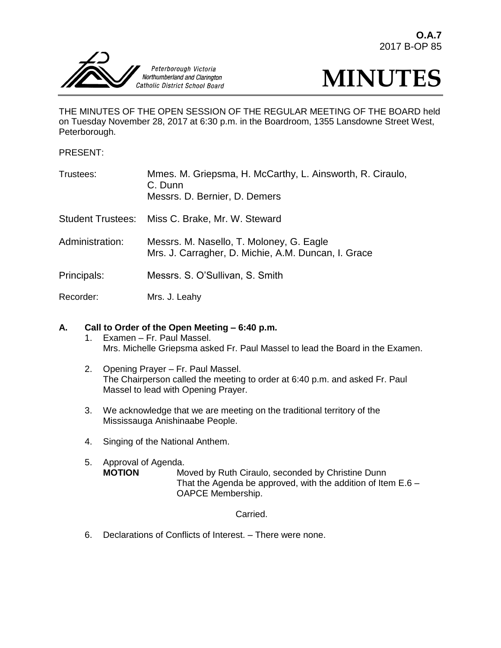



THE MINUTES OF THE OPEN SESSION OF THE REGULAR MEETING OF THE BOARD held on Tuesday November 28, 2017 at 6:30 p.m. in the Boardroom, 1355 Lansdowne Street West, Peterborough.

PRESENT:

| Trustees:       | Mmes. M. Griepsma, H. McCarthy, L. Ainsworth, R. Ciraulo,<br>C. Dunn<br>Messrs. D. Bernier, D. Demers |
|-----------------|-------------------------------------------------------------------------------------------------------|
|                 | Student Trustees: Miss C. Brake, Mr. W. Steward                                                       |
| Administration: | Messrs. M. Nasello, T. Moloney, G. Eagle<br>Mrs. J. Carragher, D. Michie, A.M. Duncan, I. Grace       |
| Principals:     | Messrs. S. O'Sullivan, S. Smith                                                                       |
| Recorder:       | Mrs. J. Leahy                                                                                         |

# **A. Call to Order of the Open Meeting – 6:40 p.m.**

- 1. Examen Fr. Paul Massel. Mrs. Michelle Griepsma asked Fr. Paul Massel to lead the Board in the Examen.
- 2. Opening Prayer Fr. Paul Massel. The Chairperson called the meeting to order at 6:40 p.m. and asked Fr. Paul Massel to lead with Opening Prayer.
- 3. We acknowledge that we are meeting on the traditional territory of the Mississauga Anishinaabe People.
- 4. Singing of the National Anthem.
- 5. Approval of Agenda.<br>**MOTION** M Moved by Ruth Ciraulo, seconded by Christine Dunn That the Agenda be approved, with the addition of Item E.6 – OAPCE Membership.

# Carried.

6. Declarations of Conflicts of Interest. – There were none.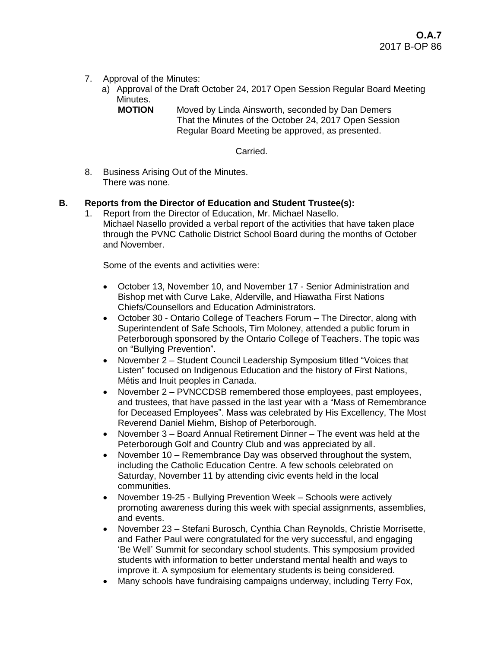- 7. Approval of the Minutes:
	- a) Approval of the Draft October 24, 2017 Open Session Regular Board Meeting Minutes.<br>**MOTION** 
		- **Moved by Linda Ainsworth, seconded by Dan Demers** That the Minutes of the October 24, 2017 Open Session Regular Board Meeting be approved, as presented.

Carried.

8. Business Arising Out of the Minutes. There was none.

# **B. Reports from the Director of Education and Student Trustee(s):**

1. Report from the Director of Education, Mr. Michael Nasello. Michael Nasello provided a verbal report of the activities that have taken place through the PVNC Catholic District School Board during the months of October and November.

Some of the events and activities were:

- October 13, November 10, and November 17 Senior Administration and Bishop met with Curve Lake, Alderville, and Hiawatha First Nations Chiefs/Counsellors and Education Administrators.
- October 30 Ontario College of Teachers Forum The Director, along with Superintendent of Safe Schools, Tim Moloney, attended a public forum in Peterborough sponsored by the Ontario College of Teachers. The topic was on "Bullying Prevention".
- November 2 Student Council Leadership Symposium titled "Voices that Listen" focused on Indigenous Education and the history of First Nations, Métis and Inuit peoples in Canada.
- November 2 PVNCCDSB remembered those employees, past employees, and trustees, that have passed in the last year with a "Mass of Remembrance for Deceased Employees". Mass was celebrated by His Excellency, The Most Reverend Daniel Miehm, Bishop of Peterborough.
- November 3 Board Annual Retirement Dinner The event was held at the Peterborough Golf and Country Club and was appreciated by all.
- November 10 Remembrance Day was observed throughout the system, including the Catholic Education Centre. A few schools celebrated on Saturday, November 11 by attending civic events held in the local communities.
- November 19-25 Bullying Prevention Week Schools were actively promoting awareness during this week with special assignments, assemblies, and events.
- November 23 Stefani Burosch, Cynthia Chan Reynolds, Christie Morrisette, and Father Paul were congratulated for the very successful, and engaging 'Be Well' Summit for secondary school students. This symposium provided students with information to better understand mental health and ways to improve it. A symposium for elementary students is being considered.
- Many schools have fundraising campaigns underway, including Terry Fox,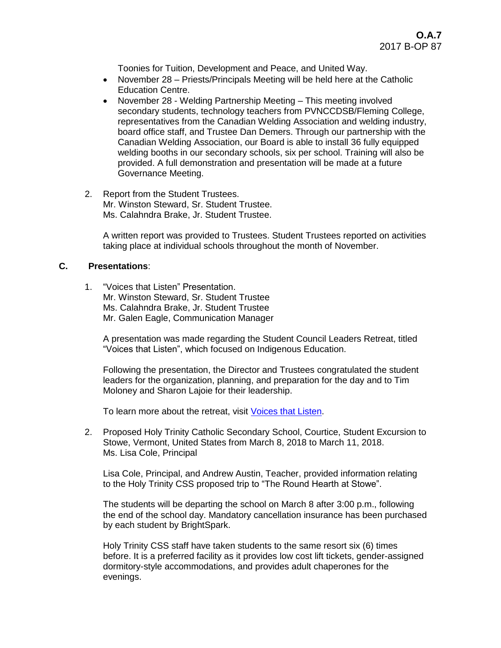Toonies for Tuition, Development and Peace, and United Way.

- November 28 Priests/Principals Meeting will be held here at the Catholic Education Centre.
- November 28 Welding Partnership Meeting This meeting involved secondary students, technology teachers from PVNCCDSB/Fleming College, representatives from the Canadian Welding Association and welding industry, board office staff, and Trustee Dan Demers. Through our partnership with the Canadian Welding Association, our Board is able to install 36 fully equipped welding booths in our secondary schools, six per school. Training will also be provided. A full demonstration and presentation will be made at a future Governance Meeting.
- 2. Report from the Student Trustees. Mr. Winston Steward, Sr. Student Trustee. Ms. Calahndra Brake, Jr. Student Trustee.

A written report was provided to Trustees. Student Trustees reported on activities taking place at individual schools throughout the month of November.

## **C. Presentations**:

1. "Voices that Listen" Presentation. Mr. Winston Steward, Sr. Student Trustee Ms. Calahndra Brake, Jr. Student Trustee Mr. Galen Eagle, Communication Manager

A presentation was made regarding the Student Council Leaders Retreat, titled "Voices that Listen", which focused on Indigenous Education.

Following the presentation, the Director and Trustees congratulated the student leaders for the organization, planning, and preparation for the day and to Tim Moloney and Sharon Lajoie for their leadership.

To learn more about the retreat, visit [Voices that Listen.](https://www.youtube.com/watch?v=zcbuNHtKYwo)

2. Proposed Holy Trinity Catholic Secondary School, Courtice, Student Excursion to Stowe, Vermont, United States from March 8, 2018 to March 11, 2018. Ms. Lisa Cole, Principal

Lisa Cole, Principal, and Andrew Austin, Teacher, provided information relating to the Holy Trinity CSS proposed trip to "The Round Hearth at Stowe".

The students will be departing the school on March 8 after 3:00 p.m., following the end of the school day. Mandatory cancellation insurance has been purchased by each student by BrightSpark.

Holy Trinity CSS staff have taken students to the same resort six (6) times before. It is a preferred facility as it provides low cost lift tickets, gender-assigned dormitory-style accommodations, and provides adult chaperones for the evenings.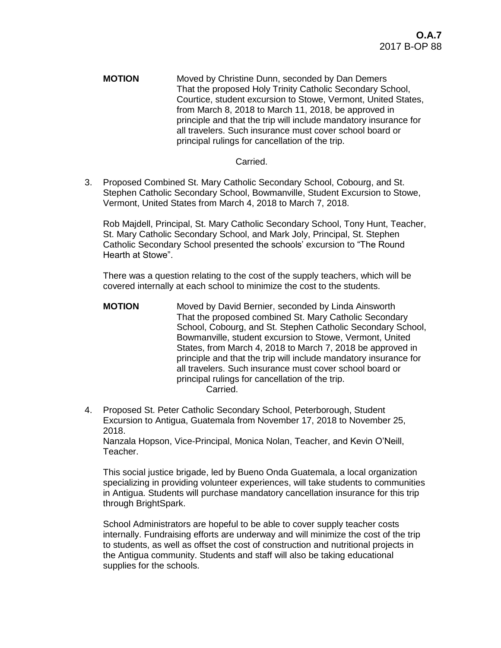**MOTION** Moved by Christine Dunn, seconded by Dan Demers That the proposed Holy Trinity Catholic Secondary School, Courtice, student excursion to Stowe, Vermont, United States, from March 8, 2018 to March 11, 2018, be approved in principle and that the trip will include mandatory insurance for all travelers. Such insurance must cover school board or principal rulings for cancellation of the trip.

## Carried.

3. Proposed Combined St. Mary Catholic Secondary School, Cobourg, and St. Stephen Catholic Secondary School, Bowmanville, Student Excursion to Stowe, Vermont, United States from March 4, 2018 to March 7, 2018.

Rob Majdell, Principal, St. Mary Catholic Secondary School, Tony Hunt, Teacher, St. Mary Catholic Secondary School, and Mark Joly, Principal, St. Stephen Catholic Secondary School presented the schools' excursion to "The Round Hearth at Stowe".

There was a question relating to the cost of the supply teachers, which will be covered internally at each school to minimize the cost to the students.

- **MOTION** Moved by David Bernier, seconded by Linda Ainsworth That the proposed combined St. Mary Catholic Secondary School, Cobourg, and St. Stephen Catholic Secondary School, Bowmanville, student excursion to Stowe, Vermont, United States, from March 4, 2018 to March 7, 2018 be approved in principle and that the trip will include mandatory insurance for all travelers. Such insurance must cover school board or principal rulings for cancellation of the trip. Carried.
- 4. Proposed St. Peter Catholic Secondary School, Peterborough, Student Excursion to Antigua, Guatemala from November 17, 2018 to November 25, 2018.

Nanzala Hopson, Vice-Principal, Monica Nolan, Teacher, and Kevin O'Neill, Teacher.

This social justice brigade, led by Bueno Onda Guatemala, a local organization specializing in providing volunteer experiences, will take students to communities in Antigua. Students will purchase mandatory cancellation insurance for this trip through BrightSpark.

School Administrators are hopeful to be able to cover supply teacher costs internally. Fundraising efforts are underway and will minimize the cost of the trip to students, as well as offset the cost of construction and nutritional projects in the Antigua community. Students and staff will also be taking educational supplies for the schools.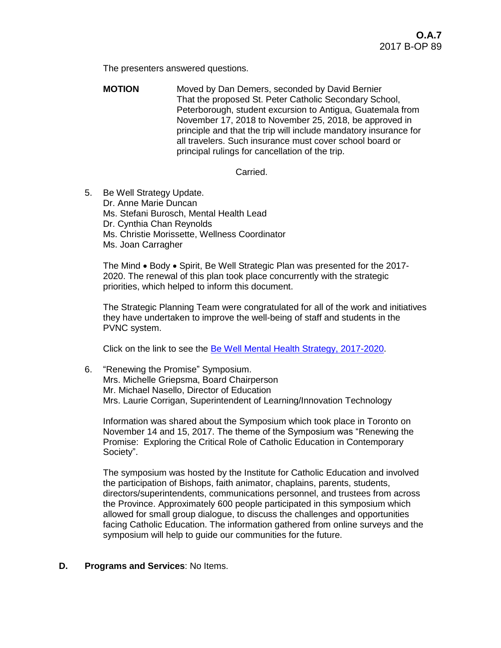The presenters answered questions.

**MOTION** Moved by Dan Demers, seconded by David Bernier That the proposed St. Peter Catholic Secondary School, Peterborough, student excursion to Antigua, Guatemala from November 17, 2018 to November 25, 2018, be approved in principle and that the trip will include mandatory insurance for all travelers. Such insurance must cover school board or principal rulings for cancellation of the trip.

## Carried.

5. Be Well Strategy Update. Dr. Anne Marie Duncan Ms. Stefani Burosch, Mental Health Lead Dr. Cynthia Chan Reynolds Ms. Christie Morissette, Wellness Coordinator Ms. Joan Carragher

The Mind • Body • Spirit, Be Well Strategic Plan was presented for the 2017-2020. The renewal of this plan took place concurrently with the strategic priorities, which helped to inform this document.

The Strategic Planning Team were congratulated for all of the work and initiatives they have undertaken to improve the well-being of staff and students in the PVNC system.

Click on the link to see the [Be Well Mental Health Strategy, 2017-2020.](http://www.pvnccdsb.on.ca/uploads/56/Doc_636396891355689126.pdf)

6. "Renewing the Promise" Symposium. Mrs. Michelle Griepsma, Board Chairperson Mr. Michael Nasello, Director of Education Mrs. Laurie Corrigan, Superintendent of Learning/Innovation Technology

Information was shared about the Symposium which took place in Toronto on November 14 and 15, 2017. The theme of the Symposium was "Renewing the Promise: Exploring the Critical Role of Catholic Education in Contemporary Society".

The symposium was hosted by the Institute for Catholic Education and involved the participation of Bishops, faith animator, chaplains, parents, students, directors/superintendents, communications personnel, and trustees from across the Province. Approximately 600 people participated in this symposium which allowed for small group dialogue, to discuss the challenges and opportunities facing Catholic Education. The information gathered from online surveys and the symposium will help to guide our communities for the future.

## **D. Programs and Services**: No Items.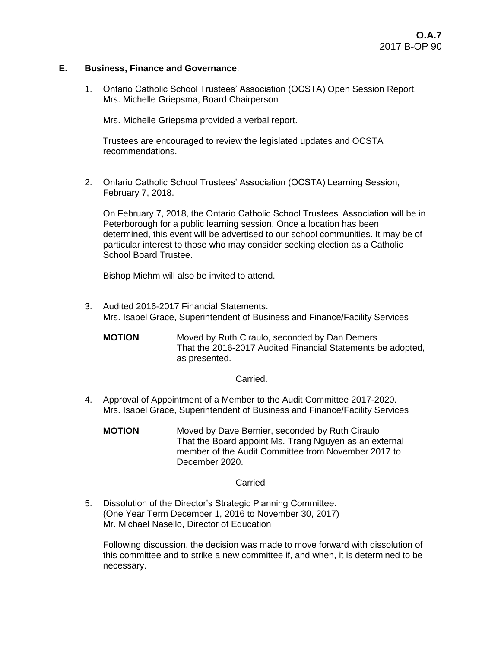## **E. Business, Finance and Governance**:

1. Ontario Catholic School Trustees' Association (OCSTA) Open Session Report. Mrs. Michelle Griepsma, Board Chairperson

Mrs. Michelle Griepsma provided a verbal report.

Trustees are encouraged to review the legislated updates and OCSTA recommendations.

2. Ontario Catholic School Trustees' Association (OCSTA) Learning Session, February 7, 2018.

On February 7, 2018, the Ontario Catholic School Trustees' Association will be in Peterborough for a public learning session. Once a location has been determined, this event will be advertised to our school communities. It may be of particular interest to those who may consider seeking election as a Catholic School Board Trustee.

Bishop Miehm will also be invited to attend.

3. Audited 2016-2017 Financial Statements. Mrs. Isabel Grace, Superintendent of Business and Finance/Facility Services

**MOTION** Moved by Ruth Ciraulo, seconded by Dan Demers That the 2016-2017 Audited Financial Statements be adopted, as presented.

#### Carried.

- 4. Approval of Appointment of a Member to the Audit Committee 2017-2020. Mrs. Isabel Grace, Superintendent of Business and Finance/Facility Services
	- **MOTION** Moved by Dave Bernier, seconded by Ruth Ciraulo That the Board appoint Ms. Trang Nguyen as an external member of the Audit Committee from November 2017 to December 2020.

## **Carried**

5. Dissolution of the Director's Strategic Planning Committee. (One Year Term December 1, 2016 to November 30, 2017) Mr. Michael Nasello, Director of Education

Following discussion, the decision was made to move forward with dissolution of this committee and to strike a new committee if, and when, it is determined to be necessary.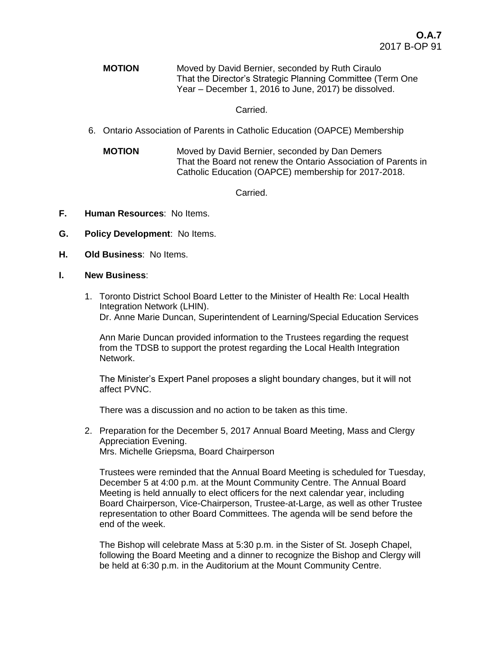**MOTION** Moved by David Bernier, seconded by Ruth Ciraulo That the Director's Strategic Planning Committee (Term One Year – December 1, 2016 to June, 2017) be dissolved.

## Carried.

- 6. Ontario Association of Parents in Catholic Education (OAPCE) Membership
	- **MOTION** Moved by David Bernier, seconded by Dan Demers That the Board not renew the Ontario Association of Parents in Catholic Education (OAPCE) membership for 2017-2018.

Carried.

- **F. Human Resources**: No Items.
- **G. Policy Development**: No Items.
- **H. Old Business**: No Items.
- **I. New Business**:
	- 1. Toronto District School Board Letter to the Minister of Health Re: Local Health Integration Network (LHIN). Dr. Anne Marie Duncan, Superintendent of Learning/Special Education Services

Ann Marie Duncan provided information to the Trustees regarding the request from the TDSB to support the protest regarding the Local Health Integration Network.

The Minister's Expert Panel proposes a slight boundary changes, but it will not affect PVNC.

There was a discussion and no action to be taken as this time.

2. Preparation for the December 5, 2017 Annual Board Meeting, Mass and Clergy Appreciation Evening. Mrs. Michelle Griepsma, Board Chairperson

Trustees were reminded that the Annual Board Meeting is scheduled for Tuesday, December 5 at 4:00 p.m. at the Mount Community Centre. The Annual Board Meeting is held annually to elect officers for the next calendar year, including Board Chairperson, Vice-Chairperson, Trustee-at-Large, as well as other Trustee representation to other Board Committees. The agenda will be send before the end of the week.

The Bishop will celebrate Mass at 5:30 p.m. in the Sister of St. Joseph Chapel, following the Board Meeting and a dinner to recognize the Bishop and Clergy will be held at 6:30 p.m. in the Auditorium at the Mount Community Centre.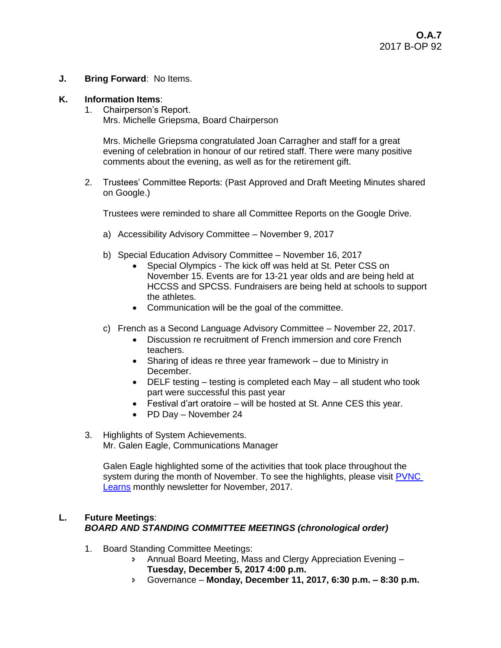**J. Bring Forward**: No Items.

## **K. Information Items**:

1. Chairperson's Report. Mrs. Michelle Griepsma, Board Chairperson

Mrs. Michelle Griepsma congratulated Joan Carragher and staff for a great evening of celebration in honour of our retired staff. There were many positive comments about the evening, as well as for the retirement gift.

2. Trustees' Committee Reports: (Past Approved and Draft Meeting Minutes shared on Google.)

Trustees were reminded to share all Committee Reports on the Google Drive.

- a) Accessibility Advisory Committee November 9, 2017
- b) Special Education Advisory Committee November 16, 2017
	- Special Olympics The kick off was held at St. Peter CSS on November 15. Events are for 13-21 year olds and are being held at HCCSS and SPCSS. Fundraisers are being held at schools to support the athletes.
	- Communication will be the goal of the committee.
- c) French as a Second Language Advisory Committee November 22, 2017.
	- Discussion re recruitment of French immersion and core French teachers.
	- Sharing of ideas re three year framework due to Ministry in December.
	- DELF testing testing is completed each May all student who took part were successful this past year
	- Festival d'art oratoire will be hosted at St. Anne CES this year.
	- PD Day November 24
- 3. Highlights of System Achievements. Mr. Galen Eagle, Communications Manager

Galen Eagle highlighted some of the activities that took place throughout the system during the month of November. To see the highlights, please visit PVNC [Learns](https://mail.google.com/mail/u/0/#advanced-search/from=geagle%40pvnccdsb.on.ca&subset=trash&within=1d&sizeoperator=s_sl&sizeunit=s_smb&query=in%3Atrash+from%3A(geagle%40pvnccdsb.on.ca)/1600941706a6a636?projector=1) monthly newsletter for November, 2017.

# **L. Future Meetings**: *BOARD AND STANDING COMMITTEE MEETINGS (chronological order)*

- 1. Board Standing Committee Meetings:
	- Annual Board Meeting, Mass and Clergy Appreciation Evening **Tuesday, December 5, 2017 4:00 p.m.**
	- Governance **Monday, December 11, 2017, 6:30 p.m. – 8:30 p.m.**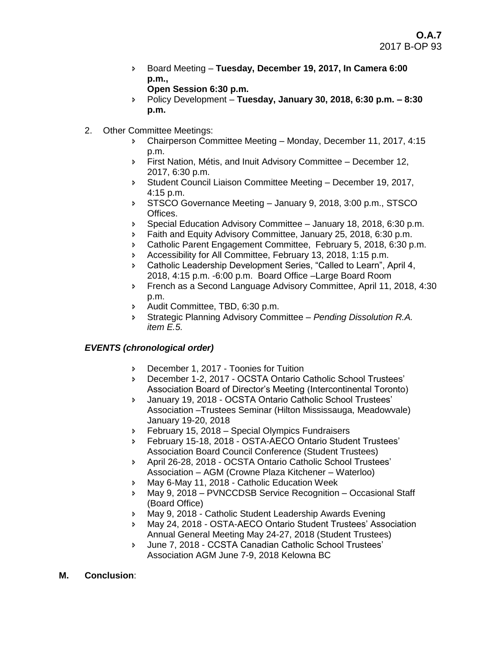Board Meeting – **Tuesday, December 19, 2017, In Camera 6:00 p.m.,** 

```
Open Session 6:30 p.m.
```
- Policy Development **Tuesday, January 30, 2018, 6:30 p.m. – 8:30 p.m.**
- 2. Other Committee Meetings:
	- Chairperson Committee Meeting Monday, December 11, 2017, 4:15 p.m.
	- First Nation, Métis, and Inuit Advisory Committee December 12, 2017, 6:30 p.m.
	- **Student Council Liaison Committee Meeting December 19, 2017,** 4:15 p.m.
	- STSCO Governance Meeting January 9, 2018, 3:00 p.m., STSCO Offices.
	- Special Education Advisory Committee January 18, 2018, 6:30 p.m.
	- **Faith and Equity Advisory Committee, January 25, 2018, 6:30 p.m.**
	- Catholic Parent Engagement Committee, February 5, 2018, 6:30 p.m.
	- Accessibility for All Committee, February 13, 2018, 1:15 p.m.
	- Catholic Leadership Development Series, "Called to Learn", April 4, 2018, 4:15 p.m. -6:00 p.m. Board Office –Large Board Room
	- **French as a Second Language Advisory Committee, April 11, 2018, 4:30** p.m.
	- Audit Committee, TBD, 6:30 p.m.
	- Strategic Planning Advisory Committee *Pending Dissolution R.A. item E.5.*

# *EVENTS (chronological order)*

- December 1, 2017 Toonies for Tuition
- December 1-2, 2017 OCSTA Ontario Catholic School Trustees' Association Board of Director's Meeting (Intercontinental Toronto)
- January 19, 2018 OCSTA Ontario Catholic School Trustees' Association –Trustees Seminar (Hilton Mississauga, Meadowvale) January 19-20, 2018
- February 15, 2018 Special Olympics Fundraisers
- February 15-18, 2018 OSTA-AECO Ontario Student Trustees' Association Board Council Conference (Student Trustees)
- April 26-28, 2018 OCSTA Ontario Catholic School Trustees' Association – AGM (Crowne Plaza Kitchener – Waterloo)
- May 6-May 11, 2018 Catholic Education Week
- May 9, 2018 PVNCCDSB Service Recognition Occasional Staff (Board Office)
- May 9, 2018 Catholic Student Leadership Awards Evening
- May 24, 2018 OSTA-AECO Ontario Student Trustees' Association Annual General Meeting May 24-27, 2018 (Student Trustees)
- June 7, 2018 CCSTA Canadian Catholic School Trustees' Association AGM June 7-9, 2018 Kelowna BC
- **M. Conclusion**: